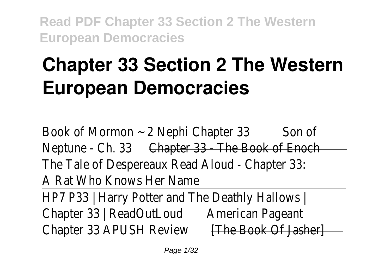# **Chapter 33 Section 2 The Western European Democracies**

Book of Mormon ~ 2 Nephi Chapter 3 Son of Neptune - Ch. 33Chapter 33 - The Book of Enoch The Tale of Despereaux Read Aloud - Chapter 33: A Rat Who Knows Her Name HP7 P33 | Harry Potter and The Deathly Hallows | Chapter 33 | ReadOutLoudAmerican Pageant Chapter 33 APUSH Review **[The Book Of Jasher]**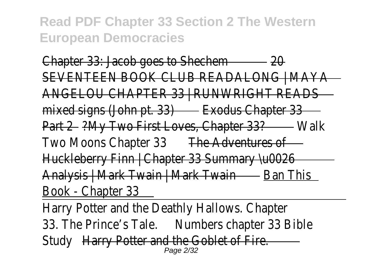Chapter 33: Jacob goes to Shechem20 SEVENTEEN BOOK CLUB READALONG | MAYA ANGELOU CHAPTER 33 | RUNWRIGHT READS mixed signs (John pt. 33)Exodus Chapter 33 Part 2?My Two First Loves, Chapter 33? Walk Two Moons Chapter 33 The Adventures of Huckleberry Finn | Chapter 33 Summary \u0026 Analysis | Mark Twain | Mark TwainBan This Book - Chapter 33

Harry Potter and the Deathly Hallows. Chapter 33. The Prince's Tale.Numbers chapter 33 Bible Study Harry Potter and the Goblet of Fire. Page 2/32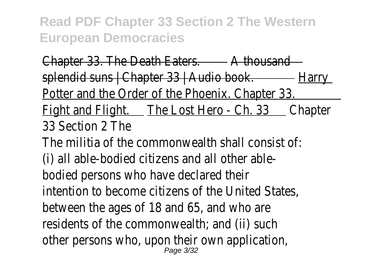Chapter 33. The Death Eaters.A thousand splendid suns | Chapter 33 | Audio book. Harry Potter and the Order of the Phoenix. Chapter 33. Fight and Flight. The Lost Hero - Ch. 33Chapter 33 Section 2 The

The militia of the commonwealth shall consist of: (i) all able-bodied citizens and all other ablebodied persons who have declared their intention to become citizens of the United States, between the ages of 18 and 65, and who are residents of the commonwealth; and (ii) such other persons who, upon their own application, Page 3/32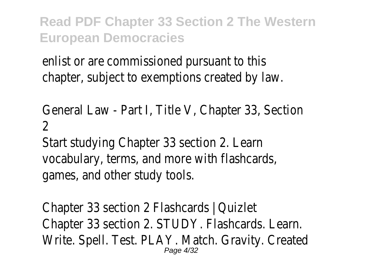enlist or are commissioned pursuant to this chapter, subject to exemptions created by law.

General Law - Part I, Title V, Chapter 33, Section 2

Start studying Chapter 33 section 2. Learn vocabulary, terms, and more with flashcards, games, and other study tools.

Chapter 33 section 2 Flashcards | Quizlet Chapter 33 section 2. STUDY. Flashcards. Learn. Write. Spell. Test. PLAY. Match. Gravity. Created Page 4/32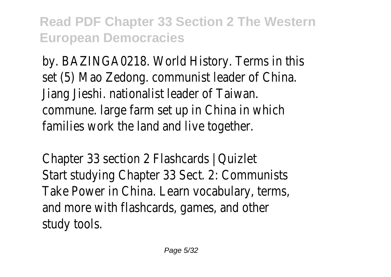by. BAZINGA0218. World History. Terms in this set (5) Mao Zedong. communist leader of China. Jiang Jieshi. nationalist leader of Taiwan. commune. large farm set up in China in which families work the land and live together.

Chapter 33 section 2 Flashcards | Quizlet Start studying Chapter 33 Sect. 2: Communists Take Power in China. Learn vocabulary, terms, and more with flashcards, games, and other study tools.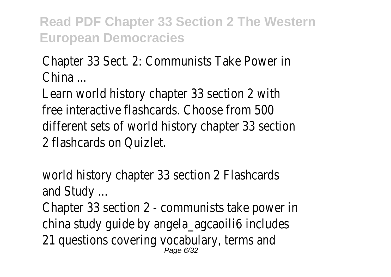Chapter 33 Sect. 2: Communists Take Power in China ...

Learn world history chapter 33 section 2 with free interactive flashcards. Choose from 500 different sets of world history chapter 33 section 2 flashcards on Quizlet.

world history chapter 33 section 2 Flashcards and Study ...

Chapter 33 section 2 - communists take power in china study guide by angela\_agcaoili6 includes 21 questions covering vocabulary, terms and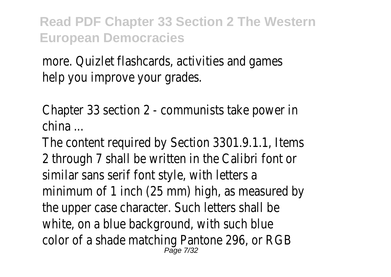more. Quizlet flashcards, activities and games help you improve your grades.

Chapter 33 section 2 - communists take power in china ...

The content required by Section 3301.9.1.1, Items 2 through 7 shall be written in the Calibri font or similar sans serif font style, with letters a minimum of 1 inch (25 mm) high, as measured by the upper case character. Such letters shall be white, on a blue background, with such blue color of a shade matching Pantone 296, or RGB Page 7/32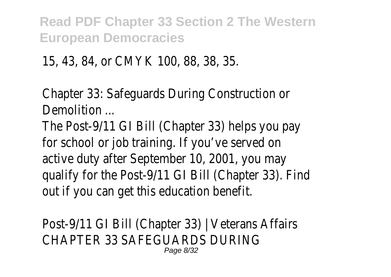15, 43, 84, or CMYK 100, 88, 38, 35.

Chapter 33: Safeguards During Construction or Demolition ...

The Post-9/11 GI Bill (Chapter 33) helps you pay for school or job training. If you've served on active duty after September 10, 2001, you may qualify for the Post-9/11 GI Bill (Chapter 33). Find out if you can get this education benefit.

Post-9/11 GI Bill (Chapter 33) | Veterans Affairs CHAPTER 33 SAFEGUARDS DURING Page 8/32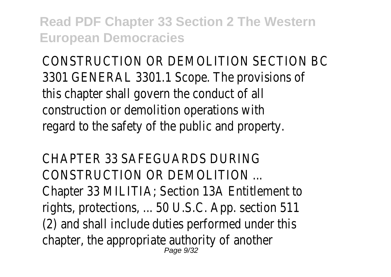CONSTRUCTION OR DEMOLITION SECTION BC 3301 GENERAL 3301.1 Scope. The provisions of this chapter shall govern the conduct of all construction or demolition operations with regard to the safety of the public and property.

CHAPTER 33 SAFEGUARDS DURING CONSTRUCTION OR DEMOLITION ... Chapter 33 MILITIA; Section 13A Entitlement to rights, protections, ... 50 U.S.C. App. section 511 (2) and shall include duties performed under this chapter, the appropriate authority of another Page 9/32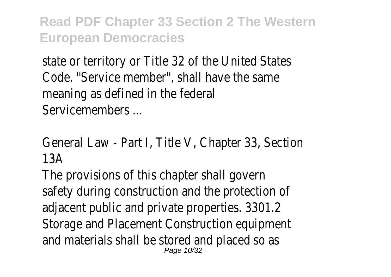state or territory or Title 32 of the United States Code. ''Service member'', shall have the same meaning as defined in the federal Servicemembers ...

General Law - Part I, Title V, Chapter 33, Section 13A

The provisions of this chapter shall govern safety during construction and the protection of adjacent public and private properties. 3301.2 Storage and Placement Construction equipment and materials shall be stored and placed so as Page 10/32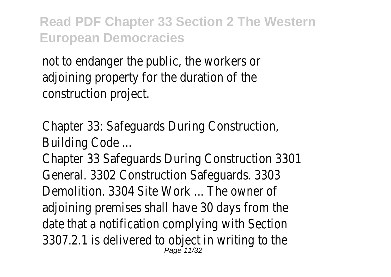not to endanger the public, the workers or adjoining property for the duration of the construction project.

Chapter 33: Safeguards During Construction, Building Code ...

Chapter 33 Safeguards During Construction 3301 General. 3302 Construction Safeguards. 3303 Demolition. 3304 Site Work ... The owner of adjoining premises shall have 30 days from the date that a notification complying with Section 3307.2.1 is delivered to object in writing to the Page 11/32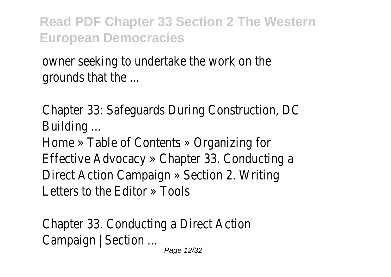owner seeking to undertake the work on the grounds that the ...

Chapter 33: Safeguards During Construction, DC Building ...

Home » Table of Contents » Organizing for Effective Advocacy » Chapter 33. Conducting a Direct Action Campaign » Section 2. Writing Letters to the Editor » Tools

Chapter 33. Conducting a Direct Action Campaign | Section ... Page 12/32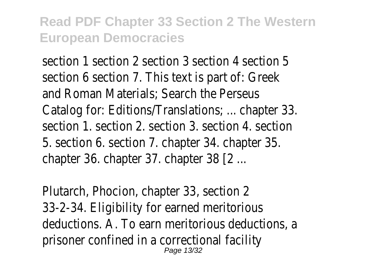section 1 section 2 section 3 section 4 section 5 section 6 section 7. This text is part of: Greek and Roman Materials; Search the Perseus Catalog for: Editions/Translations; ... chapter 33. section 1. section 2. section 3. section 4. section 5. section 6. section 7. chapter 34. chapter 35. chapter 36. chapter 37. chapter 38 [2 ...

Plutarch, Phocion, chapter 33, section 2 33-2-34. Eligibility for earned meritorious deductions. A. To earn meritorious deductions, a prisoner confined in a correctional facility Page 13/32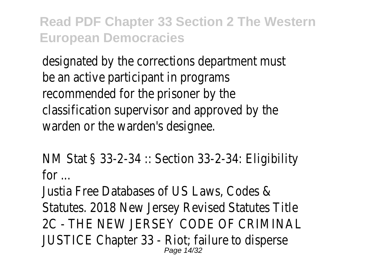designated by the corrections department must be an active participant in programs recommended for the prisoner by the classification supervisor and approved by the warden or the warden's designee.

NM Stat § 33-2-34 :: Section 33-2-34: Eligibility for ...

Justia Free Databases of US Laws, Codes & Statutes. 2018 New Jersey Revised Statutes Title 2C - THE NEW JERSEY CODE OF CRIMINAL JUSTICE Chapter 33 - Riot; failure to disperse Page 14/32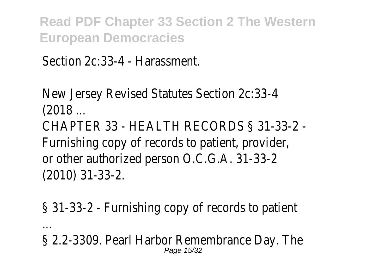Section 2c:33-4 - Harassment.

New Jersey Revised Statutes Section 2c:33-4 (2018 ...

CHAPTER 33 - HEALTH RECORDS § 31-33-2 - Furnishing copy of records to patient, provider, or other authorized person O.C.G.A. 31-33-2 (2010) 31-33-2.

§ 31-33-2 - Furnishing copy of records to patient

...

§ 2.2-3309. Pearl Harbor Remembrance Day. The Page 15/32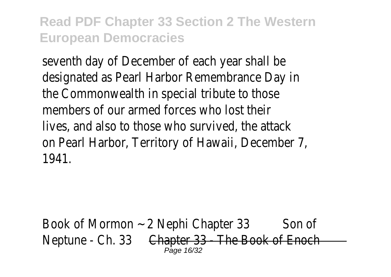seventh day of December of each year shall be designated as Pearl Harbor Remembrance Day in the Commonwealth in special tribute to those members of our armed forces who lost their lives, and also to those who survived, the attack on Pearl Harbor, Territory of Hawaii, December 7, 1941.

Book of Mormon ~ 2 Nephi Chapter 3 Son of Neptune - Ch. 33Chapter 33 - The Book of Enoch Page 16/32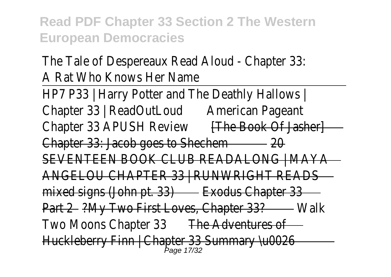The Tale of Despereaux Read Aloud - Chapter 33: A Rat Who Knows Her Name

HP7 P33 | Harry Potter and The Deathly Hallows | Chapter 33 | ReadOutLoudAmerican Pageant Chapter 33 APUSH Review **[The Book Of Jasher]** Chapter 33: Jacob goes to Shechem20 SEVENTEEN BOOK CLUB READALONG | MAYA ANGELOU CHAPTER 33 | RUNWRIGHT READS mixed signs (John pt. 33)Exodus Chapter 33 Part 2?My Two First Loves, Chapter 33? Walk Two Moons Chapter 33 The Adventures of Huckleberry Finn | Chapter 33 Summary \u0026 Page 17/32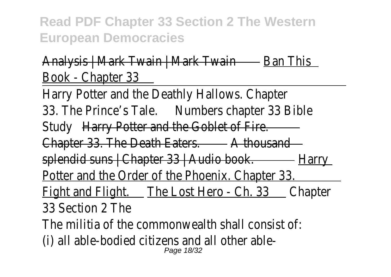## Analysis | Mark Twain | Mark TwainBan This Book - Chapter 33

Harry Potter and the Deathly Hallows. Chapter 33. The Prince's Tale.Numbers chapter 33 Bible Study Harry Potter and the Goblet of Fire. Chapter 33. The Death Eaters.A thousand splendid suns | Chapter 33 | Audio book.Harry Potter and the Order of the Phoenix. Chapter 33. Fight and Flight. The Lost Hero - Ch. 33Chapter 33 Section 2 The The militia of the commonwealth shall consist of: (i) all able-bodied citizens and all other able-Page 18/32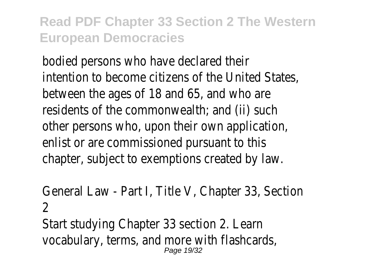bodied persons who have declared their intention to become citizens of the United States, between the ages of 18 and 65, and who are residents of the commonwealth; and (ii) such other persons who, upon their own application, enlist or are commissioned pursuant to this chapter, subject to exemptions created by law.

General Law - Part I, Title V, Chapter 33, Section  $\mathcal{P}$ 

Start studying Chapter 33 section 2. Learn vocabulary, terms, and more with flashcards, Page 19/32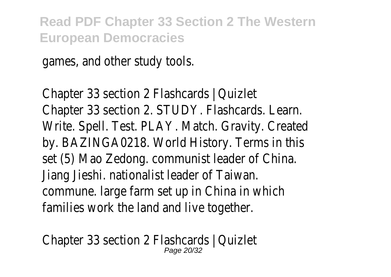games, and other study tools.

Chapter 33 section 2 Flashcards | Quizlet Chapter 33 section 2. STUDY. Flashcards. Learn. Write. Spell. Test. PLAY. Match. Gravity. Created by. BAZINGA0218. World History. Terms in this set (5) Mao Zedong. communist leader of China. Jiang Jieshi. nationalist leader of Taiwan. commune. large farm set up in China in which families work the land and live together.

Chapter 33 section 2 Flashcards | Quizlet Page 20/32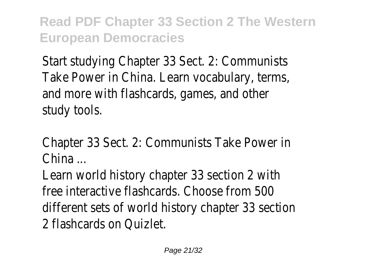Start studying Chapter 33 Sect. 2: Communists Take Power in China. Learn vocabulary, terms, and more with flashcards, games, and other study tools.

Chapter 33 Sect. 2: Communists Take Power in China ...

Learn world history chapter 33 section 2 with free interactive flashcards. Choose from 500 different sets of world history chapter 33 section 2 flashcards on Quizlet.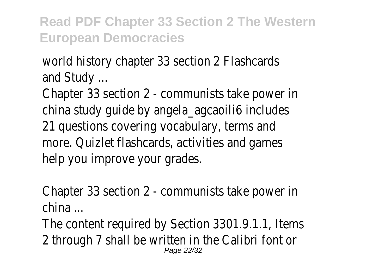world history chapter 33 section 2 Flashcards and Study ...

Chapter 33 section 2 - communists take power in china study guide by angela\_agcaoili6 includes 21 questions covering vocabulary, terms and more. Quizlet flashcards, activities and games help you improve your grades.

Chapter 33 section 2 - communists take power in china ...

The content required by Section 3301.9.1.1, Items 2 through 7 shall be written in the Calibri font or Page 22/32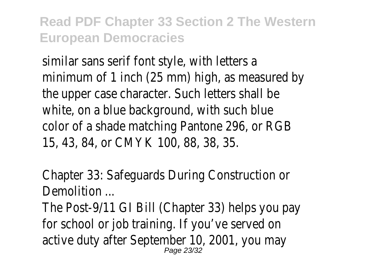similar sans serif font style, with letters a minimum of 1 inch (25 mm) high, as measured by the upper case character. Such letters shall be white, on a blue background, with such blue color of a shade matching Pantone 296, or RGB 15, 43, 84, or CMYK 100, 88, 38, 35.

Chapter 33: Safeguards During Construction or Demolition ...

The Post-9/11 GI Bill (Chapter 33) helps you pay for school or job training. If you've served on active duty after September 10, 2001, you may Page 23/32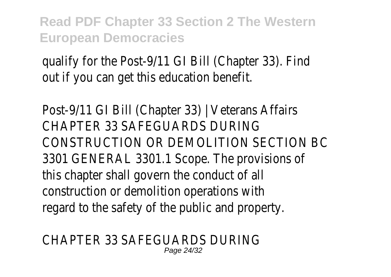qualify for the Post-9/11 GI Bill (Chapter 33). Find out if you can get this education benefit.

Post-9/11 GI Bill (Chapter 33) | Veterans Affairs CHAPTER 33 SAFEGUARDS DURING CONSTRUCTION OR DEMOLITION SECTION BC 3301 GENERAL 3301.1 Scope. The provisions of this chapter shall govern the conduct of all construction or demolition operations with regard to the safety of the public and property.

CHAPTER 33 SAFEGUARDS DURING Page 24/32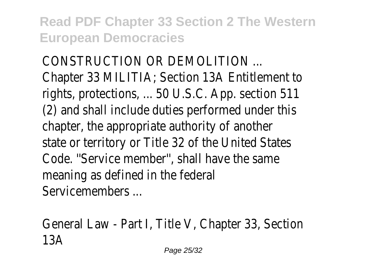CONSTRUCTION OR DEMOLITION ... Chapter 33 MILITIA; Section 13A Entitlement to rights, protections, ... 50 U.S.C. App. section 511 (2) and shall include duties performed under this chapter, the appropriate authority of another state or territory or Title 32 of the United States Code. ''Service member'', shall have the same meaning as defined in the federal Servicemembers ...

General Law - Part I, Title V, Chapter 33, Section 13A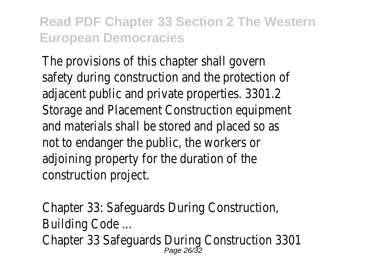The provisions of this chapter shall govern safety during construction and the protection of adjacent public and private properties. 3301.2 Storage and Placement Construction equipment and materials shall be stored and placed so as not to endanger the public, the workers or adjoining property for the duration of the construction project.

Chapter 33: Safeguards During Construction, Building Code ... Chapter 33 Safeguards During Construction 3301 Page 26/32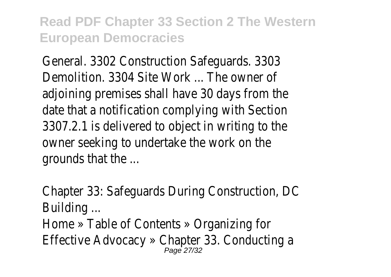General. 3302 Construction Safeguards. 3303 Demolition. 3304 Site Work ... The owner of adjoining premises shall have 30 days from the date that a notification complying with Section 3307.2.1 is delivered to object in writing to the owner seeking to undertake the work on the grounds that the ...

Chapter 33: Safeguards During Construction, DC Building ...

Home » Table of Contents » Organizing for Effective Advocacy » Chapter 33. Conducting a Page 27/32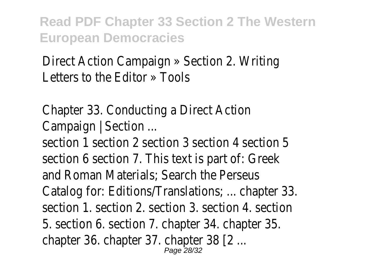Direct Action Campaign » Section 2. Writing Letters to the Editor » Tools

Chapter 33. Conducting a Direct Action Campaign | Section ...

section 1 section 2 section 3 section 4 section 5 section 6 section 7. This text is part of: Greek and Roman Materials; Search the Perseus Catalog for: Editions/Translations; ... chapter 33. section 1. section 2. section 3. section 4. section 5. section 6. section 7. chapter 34. chapter 35. chapter 36. chapter 37. chapter 38 [2 ... Page 28/32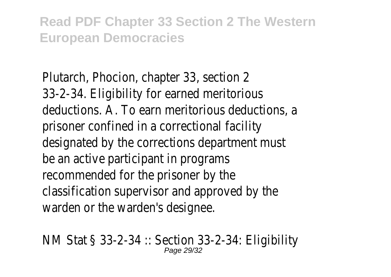Plutarch, Phocion, chapter 33, section 2 33-2-34. Eligibility for earned meritorious deductions. A. To earn meritorious deductions, a prisoner confined in a correctional facility designated by the corrections department must be an active participant in programs recommended for the prisoner by the classification supervisor and approved by the warden or the warden's designee.

NM Stat § 33-2-34 :: Section 33-2-34: Eligibility Page 29/32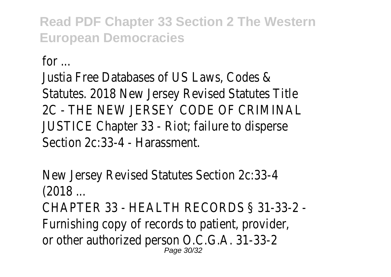for ...

Justia Free Databases of US Laws, Codes & Statutes. 2018 New Jersey Revised Statutes Title 2C - THE NEW JERSEY CODE OF CRIMINAL JUSTICE Chapter 33 - Riot; failure to disperse Section 2c:33-4 - Harassment.

New Jersey Revised Statutes Section 2c:33-4 (2018 ...

CHAPTER 33 - HEALTH RECORDS § 31-33-2 - Furnishing copy of records to patient, provider, or other authorized person O.C.G.A. 31-33-2 Page 30/32